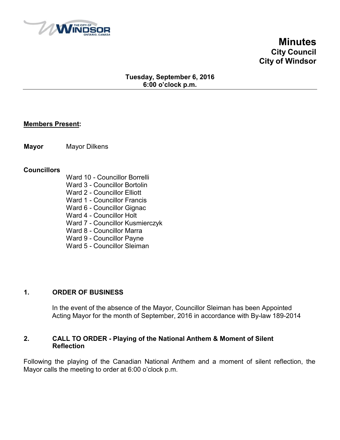

**Minutes City Council City of Windsor**

## **Tuesday, September 6, 2016 6:00 o'clock p.m.**

#### **Members Present:**

**Mayor** Mayor Dilkens

#### **Councillors**

- Ward 10 Councillor Borrelli
- Ward 3 Councillor Bortolin
- Ward 2 Councillor Elliott
- Ward 1 Councillor Francis
- Ward 6 Councillor Gignac
- Ward 4 Councillor Holt
- Ward 7 Councillor Kusmierczyk
- Ward 8 Councillor Marra
- Ward 9 Councillor Payne
- Ward 5 Councillor Sleiman

#### **1. ORDER OF BUSINESS**

In the event of the absence of the Mayor, Councillor Sleiman has been Appointed Acting Mayor for the month of September, 2016 in accordance with By-law 189-2014

#### **2. CALL TO ORDER - Playing of the National Anthem & Moment of Silent Reflection**

Following the playing of the Canadian National Anthem and a moment of silent reflection, the Mayor calls the meeting to order at 6:00 o'clock p.m.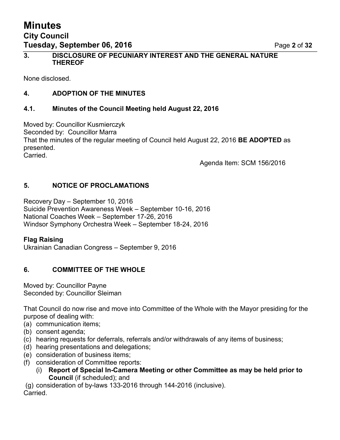# **Minutes City Council Tuesday, September 06, 2016** Page **2** of **32**

None disclosed.

# **4. ADOPTION OF THE MINUTES**

# **4.1. Minutes of the Council Meeting held August 22, 2016**

Moved by: Councillor Kusmierczyk Seconded by: Councillor Marra That the minutes of the regular meeting of Council held August 22, 2016 **BE ADOPTED** as presented. Carried.

Agenda Item: SCM 156/2016

# **5. NOTICE OF PROCLAMATIONS**

Recovery Day – September 10, 2016 Suicide Prevention Awareness Week – September 10-16, 2016 National Coaches Week – September 17-26, 2016 Windsor Symphony Orchestra Week – September 18-24, 2016

# **Flag Raising**

Ukrainian Canadian Congress – September 9, 2016

# **6. COMMITTEE OF THE WHOLE**

Moved by: Councillor Payne Seconded by: Councillor Sleiman

That Council do now rise and move into Committee of the Whole with the Mayor presiding for the purpose of dealing with:

- (a) communication items;
- (b) consent agenda;
- (c) hearing requests for deferrals, referrals and/or withdrawals of any items of business;
- (d) hearing presentations and delegations;
- (e) consideration of business items;
- (f) consideration of Committee reports:
	- (i) **Report of Special In-Camera Meeting or other Committee as may be held prior to Council** (if scheduled); and

(g) consideration of by-laws 133-2016 through 144-2016 (inclusive).

Carried.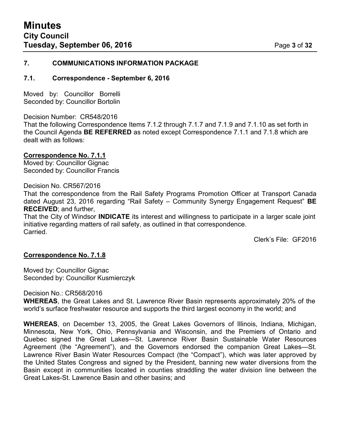#### **7. COMMUNICATIONS INFORMATION PACKAGE**

#### **7.1. Correspondence - September 6, 2016**

Moved by: Councillor Borrelli Seconded by: Councillor Bortolin

Decision Number: CR548/2016 That the following Correspondence Items 7.1.2 through 7.1.7 and 7.1.9 and 7.1.10 as set forth in the Council Agenda **BE REFERRED** as noted except Correspondence 7.1.1 and 7.1.8 which are dealt with as follows:

#### **Correspondence No. 7.1.1**

Moved by: Councillor Gignac Seconded by: Councillor Francis

#### Decision No. CR567/2016

That the correspondence from the Rail Safety Programs Promotion Officer at Transport Canada dated August 23, 2016 regarding "Rail Safety – Community Synergy Engagement Request" **BE RECEIVED**; and further,

That the City of Windsor **INDICATE** its interest and willingness to participate in a larger scale joint initiative regarding matters of rail safety, as outlined in that correspondence. **Carried** 

Clerk's File: GF2016

#### **Correspondence No. 7.1.8**

Moved by: Councillor Gignac Seconded by: Councillor Kusmierczyk

Decision No.: CR568/2016

**WHEREAS**, the Great Lakes and St. Lawrence River Basin represents approximately 20% of the world's surface freshwater resource and supports the third largest economy in the world; and

**WHEREAS**, on December 13, 2005, the Great Lakes Governors of Illinois, Indiana, Michigan, Minnesota, New York, Ohio, Pennsylvania and Wisconsin, and the Premiers of Ontario and Quebec signed the Great Lakes—St. Lawrence River Basin Sustainable Water Resources Agreement (the "Agreement"), and the Governors endorsed the companion Great Lakes—St. Lawrence River Basin Water Resources Compact (the "Compact"), which was later approved by the United States Congress and signed by the President, banning new water diversions from the Basin except in communities located in counties straddling the water division line between the Great Lakes-St. Lawrence Basin and other basins; and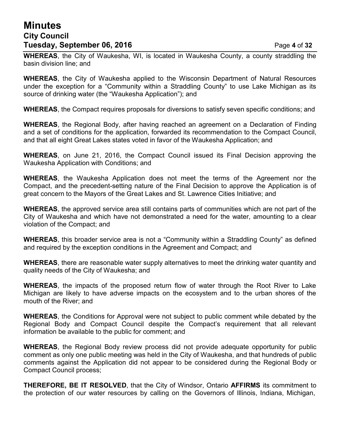# **Minutes City Council Tuesday, September 06, 2016** Page **4** of **32**

**WHEREAS**, the City of Waukesha, WI, is located in Waukesha County, a county straddling the basin division line; and

**WHEREAS**, the City of Waukesha applied to the Wisconsin Department of Natural Resources under the exception for a "Community within a Straddling County" to use Lake Michigan as its source of drinking water (the "Waukesha Application"); and

**WHEREAS**, the Compact requires proposals for diversions to satisfy seven specific conditions; and

**WHEREAS**, the Regional Body, after having reached an agreement on a Declaration of Finding and a set of conditions for the application, forwarded its recommendation to the Compact Council, and that all eight Great Lakes states voted in favor of the Waukesha Application; and

**WHEREAS**, on June 21, 2016, the Compact Council issued its Final Decision approving the Waukesha Application with Conditions; and

**WHEREAS**, the Waukesha Application does not meet the terms of the Agreement nor the Compact, and the precedent-setting nature of the Final Decision to approve the Application is of great concern to the Mayors of the Great Lakes and St. Lawrence Cities Initiative; and

**WHEREAS**, the approved service area still contains parts of communities which are not part of the City of Waukesha and which have not demonstrated a need for the water, amounting to a clear violation of the Compact; and

**WHEREAS**, this broader service area is not a "Community within a Straddling County" as defined and required by the exception conditions in the Agreement and Compact; and

**WHEREAS**, there are reasonable water supply alternatives to meet the drinking water quantity and quality needs of the City of Waukesha; and

**WHEREAS**, the impacts of the proposed return flow of water through the Root River to Lake Michigan are likely to have adverse impacts on the ecosystem and to the urban shores of the mouth of the River; and

**WHEREAS**, the Conditions for Approval were not subject to public comment while debated by the Regional Body and Compact Council despite the Compact's requirement that all relevant information be available to the public for comment; and

**WHEREAS**, the Regional Body review process did not provide adequate opportunity for public comment as only one public meeting was held in the City of Waukesha, and that hundreds of public comments against the Application did not appear to be considered during the Regional Body or Compact Council process;

**THEREFORE, BE IT RESOLVED**, that the City of Windsor, Ontario **AFFIRMS** its commitment to the protection of our water resources by calling on the Governors of Illinois, Indiana, Michigan,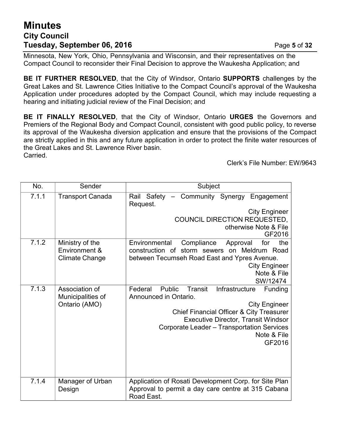# **Minutes City Council Tuesday, September 06, 2016** Page **5** of **32**

Minnesota, New York, Ohio, Pennsylvania and Wisconsin, and their representatives on the Compact Council to reconsider their Final Decision to approve the Waukesha Application; and

**BE IT FURTHER RESOLVED**, that the City of Windsor, Ontario **SUPPORTS** challenges by the Great Lakes and St. Lawrence Cities Initiative to the Compact Council's approval of the Waukesha Application under procedures adopted by the Compact Council, which may include requesting a hearing and initiating judicial review of the Final Decision; and

**BE IT FINALLY RESOLVED**, that the City of Windsor, Ontario **URGES** the Governors and Premiers of the Regional Body and Compact Council, consistent with good public policy, to reverse its approval of the Waukesha diversion application and ensure that the provisions of the Compact are strictly applied in this and any future application in order to protect the finite water resources of the Great Lakes and St. Lawrence River basin. Carried.

Clerk's File Number: EW/9643

| No.   | Sender                           | Subject                                                                                               |  |  |
|-------|----------------------------------|-------------------------------------------------------------------------------------------------------|--|--|
| 7.1.1 | <b>Transport Canada</b>          | Rail Safety - Community Synergy Engagement<br>Request.                                                |  |  |
|       |                                  | <b>City Engineer</b>                                                                                  |  |  |
|       |                                  | COUNCIL DIRECTION REQUESTED,                                                                          |  |  |
|       |                                  | otherwise Note & File                                                                                 |  |  |
|       |                                  | GF2016                                                                                                |  |  |
| 7.1.2 | Ministry of the<br>Environment & | Environmental<br>Compliance<br>for<br>the<br>Approval<br>construction of storm sewers on Meldrum Road |  |  |
|       | <b>Climate Change</b>            | between Tecumseh Road East and Ypres Avenue.                                                          |  |  |
|       |                                  | <b>City Engineer</b>                                                                                  |  |  |
|       |                                  | Note & File                                                                                           |  |  |
| 7.1.3 | Association of                   | SW/12474<br>Federal<br>Public<br>Transit<br>Infrastructure<br>Funding                                 |  |  |
|       | Municipalities of                | Announced in Ontario.                                                                                 |  |  |
|       | Ontario (AMO)                    | <b>City Engineer</b>                                                                                  |  |  |
|       |                                  | <b>Chief Financial Officer &amp; City Treasurer</b>                                                   |  |  |
|       |                                  | <b>Executive Director, Transit Windsor</b>                                                            |  |  |
|       |                                  | Corporate Leader - Transportation Services                                                            |  |  |
|       |                                  | Note & File                                                                                           |  |  |
|       |                                  | GF2016                                                                                                |  |  |
|       |                                  |                                                                                                       |  |  |
|       |                                  |                                                                                                       |  |  |
|       |                                  |                                                                                                       |  |  |
| 7.1.4 | Manager of Urban                 | Application of Rosati Development Corp. for Site Plan                                                 |  |  |
|       | Design                           | Approval to permit a day care centre at 315 Cabana<br>Road East.                                      |  |  |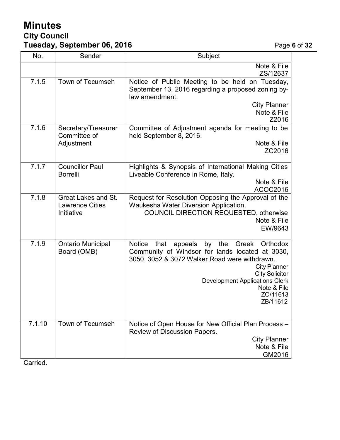# **Minutes City Council Tuesday, September 06, 2016** Page **6** of **32**

| No.    | Sender                                                             | Subject                                                                                                                                                                                                                                                                                                |  |
|--------|--------------------------------------------------------------------|--------------------------------------------------------------------------------------------------------------------------------------------------------------------------------------------------------------------------------------------------------------------------------------------------------|--|
|        |                                                                    | Note & File<br>ZS/12637                                                                                                                                                                                                                                                                                |  |
| 7.1.5  | Town of Tecumseh                                                   | Notice of Public Meeting to be held on Tuesday,<br>September 13, 2016 regarding a proposed zoning by-<br>law amendment.<br><b>City Planner</b><br>Note & File<br>Z2016                                                                                                                                 |  |
| 7.1.6  | Secretary/Treasurer<br>Committee of<br>Adjustment                  | Committee of Adjustment agenda for meeting to be<br>held September 8, 2016.<br>Note & File<br>ZC2016                                                                                                                                                                                                   |  |
| 7.1.7  | <b>Councillor Paul</b><br><b>Borrelli</b>                          | Highlights & Synopsis of International Making Cities<br>Liveable Conference in Rome, Italy.<br>Note & File<br>ACOC2016                                                                                                                                                                                 |  |
| 7.1.8  | <b>Great Lakes and St.</b><br><b>Lawrence Cities</b><br>Initiative | Request for Resolution Opposing the Approval of the<br>Waukesha Water Diversion Application.<br>COUNCIL DIRECTION REQUESTED, otherwise<br>Note & File<br>EW/9643                                                                                                                                       |  |
| 7.1.9  | <b>Ontario Municipal</b><br>Board (OMB)                            | by<br>the<br>Greek<br>Orthodox<br><b>Notice</b><br>that<br>appeals<br>Community of Windsor for lands located at 3030,<br>3050, 3052 & 3072 Walker Road were withdrawn.<br><b>City Planner</b><br><b>City Solicitor</b><br><b>Development Applications Clerk</b><br>Note & File<br>ZO/11613<br>ZB/11612 |  |
| 7.1.10 | <b>Town of Tecumseh</b>                                            | Notice of Open House for New Official Plan Process -<br>Review of Discussion Papers.<br><b>City Planner</b><br>Note & File<br>GM2016                                                                                                                                                                   |  |

Carried.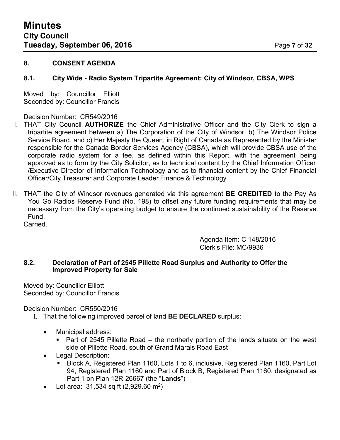### **8. CONSENT AGENDA**

### **8.1. City Wide - Radio System Tripartite Agreement: City of Windsor, CBSA, WPS**

Moved by: Councillor Elliott Seconded by: Councillor Francis

#### Decision Number: CR549/2016

- I. THAT City Council **AUTHORIZE** the Chief Administrative Officer and the City Clerk to sign a tripartite agreement between a) The Corporation of the City of Windsor, b) The Windsor Police Service Board, and c) Her Majesty the Queen, in Right of Canada as Represented by the Minister responsible for the Canada Border Services Agency (CBSA), which will provide CBSA use of the corporate radio system for a fee, as defined within this Report, with the agreement being approved as to form by the City Solicitor, as to technical content by the Chief Information Officer /Executive Director of Information Technology and as to financial content by the Chief Financial Officer/City Treasurer and Corporate Leader Finance & Technology.
- II. THAT the City of Windsor revenues generated via this agreement **BE CREDITED** to the Pay As You Go Radios Reserve Fund (No. 198) to offset any future funding requirements that may be necessary from the City's operating budget to ensure the continued sustainability of the Reserve Fund. Carried.

Agenda Item: C 148/2016 Clerk's File: MC/9936

#### **8.2. Declaration of Part of 2545 Pillette Road Surplus and Authority to Offer the Improved Property for Sale**

Moved by: Councillor Elliott Seconded by: Councillor Francis

Decision Number: CR550/2016

- I. That the following improved parcel of land **BE DECLARED** surplus:
	- Municipal address:
		- Part of 2545 Pillette Road the northerly portion of the lands situate on the west side of Pillette Road, south of Grand Marais Road East
	- Legal Description:
		- Block A, Registered Plan 1160, Lots 1 to 6, inclusive, Registered Plan 1160, Part Lot 94, Registered Plan 1160 and Part of Block B, Registered Plan 1160, designated as Part 1 on Plan 12R-26667 (the "**Lands**")
	- Lot area: 31,534 sq ft (2,929.60 m<sup>2</sup>)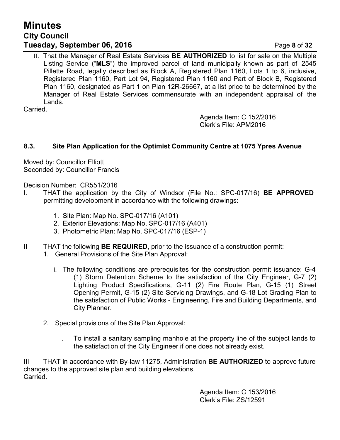# **Minutes City Council Tuesday, September 06, 2016** Page **8** of **32**

II. That the Manager of Real Estate Services **BE AUTHORIZED** to list for sale on the Multiple Listing Service ("**MLS**") the improved parcel of land municipally known as part of 2545 Pillette Road, legally described as Block A, Registered Plan 1160, Lots 1 to 6, inclusive, Registered Plan 1160, Part Lot 94, Registered Plan 1160 and Part of Block B, Registered Plan 1160, designated as Part 1 on Plan 12R-26667, at a list price to be determined by the Manager of Real Estate Services commensurate with an independent appraisal of the Lands.

Carried.

Agenda Item: C 152/2016 Clerk's File: APM2016

# **8.3. Site Plan Application for the Optimist Community Centre at 1075 Ypres Avenue**

Moved by: Councillor Elliott Seconded by: Councillor Francis

Decision Number: CR551/2016

- I. THAT the application by the City of Windsor (File No.: SPC-017/16) **BE APPROVED** permitting development in accordance with the following drawings:
	- 1. Site Plan: Map No. SPC-017/16 (A101)
	- 2. Exterior Elevations: Map No. SPC-017/16 (A401)
	- 3. Photometric Plan: Map No. SPC-017/16 (ESP-1)
- II THAT the following **BE REQUIRED**, prior to the issuance of a construction permit: 1. General Provisions of the Site Plan Approval:
	- i. The following conditions are prerequisites for the construction permit issuance: G-4 (1) Storm Detention Scheme to the satisfaction of the City Engineer, G-7 (2) Lighting Product Specifications, G-11 (2) Fire Route Plan, G-15 (1) Street Opening Permit, G-15 (2) Site Servicing Drawings, and G-18 Lot Grading Plan to the satisfaction of Public Works - Engineering, Fire and Building Departments, and City Planner.
	- 2. Special provisions of the Site Plan Approval:
		- i. To install a sanitary sampling manhole at the property line of the subject lands to the satisfaction of the City Engineer if one does not already exist.

III THAT in accordance with By-law 11275, Administration **BE AUTHORIZED** to approve future changes to the approved site plan and building elevations. Carried.

> Agenda Item: C 153/2016 Clerk's File: ZS/12591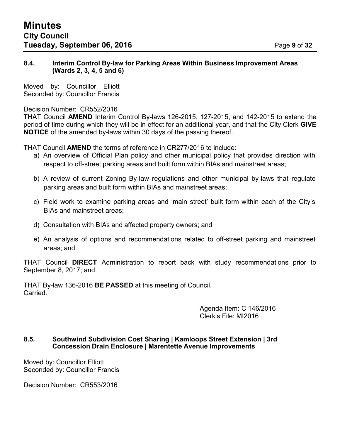#### **8.4. Interim Control By-law for Parking Areas Within Business Improvement Areas (Wards 2, 3, 4, 5 and 6)**

Moved by: Councillor Elliott Seconded by: Councillor Francis

#### Decision Number: CR552/2016

THAT Council **AMEND** Interim Control By-laws 126-2015, 127-2015, and 142-2015 to extend the period of time during which they will be in effect for an additional year, and that the City Clerk **GIVE NOTICE** of the amended by-laws within 30 days of the passing thereof.

THAT Council **AMEND** the terms of reference in CR277/2016 to include:

- a) An overview of Official Plan policy and other municipal policy that provides direction with respect to off-street parking areas and built form within BIAs and mainstreet areas;
- b) A review of current Zoning By-law regulations and other municipal by-laws that regulate parking areas and built form within BIAs and mainstreet areas;
- c) Field work to examine parking areas and 'main street' built form within each of the City's BIAs and mainstreet areas;
- d) Consultation with BIAs and affected property owners; and
- e) An analysis of options and recommendations related to off-street parking and mainstreet areas; and

THAT Council **DIRECT** Administration to report back with study recommendations prior to September 8, 2017; and

THAT By-law 136-2016 **BE PASSED** at this meeting of Council. Carried.

> Agenda Item: C 146/2016 Clerk's File: MI2016

## **8.5. Southwind Subdivision Cost Sharing | Kamloops Street Extension | 3rd Concession Drain Enclosure | Marentette Avenue Improvements**

Moved by: Councillor Elliott Seconded by: Councillor Francis

Decision Number: CR553/2016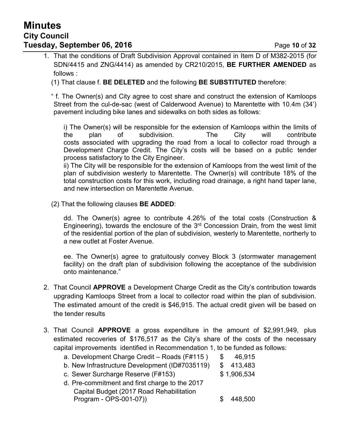# **Minutes City Council Tuesday, September 06, 2016** Page 10 of 32

1. That the conditions of Draft Subdivision Approval contained in Item D of M382-2015 (for SDN/4415 and ZNG/4414) as amended by CR210/2015, **BE FURTHER AMENDED** as follows :

(1) That clause f. **BE DELETED** and the following **BE SUBSTITUTED** therefore:

" f. The Owner(s) and City agree to cost share and construct the extension of Kamloops Street from the cul-de-sac (west of Calderwood Avenue) to Marentette with 10.4m (34') pavement including bike lanes and sidewalks on both sides as follows:

i) The Owner(s) will be responsible for the extension of Kamloops within the limits of the plan of subdivision. The City will contribute costs associated with upgrading the road from a local to collector road through a Development Charge Credit. The City's costs will be based on a public tender process satisfactory to the City Engineer.

ii) The City will be responsible for the extension of Kamloops from the west limit of the plan of subdivision westerly to Marentette. The Owner(s) will contribute 18% of the total construction costs for this work, including road drainage, a right hand taper lane, and new intersection on Marentette Avenue.

(2) That the following clauses **BE ADDED**:

dd. The Owner(s) agree to contribute 4.26% of the total costs (Construction & Engineering), towards the enclosure of the 3<sup>rd</sup> Concession Drain, from the west limit of the residential portion of the plan of subdivision, westerly to Marentette, northerly to a new outlet at Foster Avenue.

ee. The Owner(s) agree to gratuitously convey Block 3 (stormwater management facility) on the draft plan of subdivision following the acceptance of the subdivision onto maintenance."

- 2. That Council **APPROVE** a Development Charge Credit as the City's contribution towards upgrading Kamloops Street from a local to collector road within the plan of subdivision. The estimated amount of the credit is \$46,915. The actual credit given will be based on the tender results
- 3. That Council **APPROVE** a gross expenditure in the amount of \$2,991,949, plus estimated recoveries of \$176,517 as the City's share of the costs of the necessary capital improvements identified in Recommendation 1, to be funded as follows:

| a. Development Charge Credit - Roads (F#115)   | \$.          | 46,915      |
|------------------------------------------------|--------------|-------------|
| b. New Infrastructure Development (ID#7035119) | $\mathbb{S}$ | 413,483     |
| c. Sewer Surcharge Reserve (F#153)             |              | \$1,906,534 |
| d. Pre-commitment and first charge to the 2017 |              |             |
| Capital Budget (2017 Road Rehabilitation       |              |             |
| Program - OPS-001-07))                         |              | 448,500     |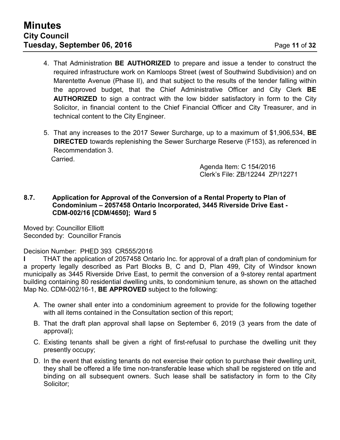- 4. That Administration **BE AUTHORIZED** to prepare and issue a tender to construct the required infrastructure work on Kamloops Street (west of Southwind Subdivision) and on Marentette Avenue (Phase II), and that subject to the results of the tender falling within the approved budget, that the Chief Administrative Officer and City Clerk **BE AUTHORIZED** to sign a contract with the low bidder satisfactory in form to the City Solicitor, in financial content to the Chief Financial Officer and City Treasurer, and in technical content to the City Engineer.
- 5. That any increases to the 2017 Sewer Surcharge, up to a maximum of \$1,906,534, **BE DIRECTED** towards replenishing the Sewer Surcharge Reserve (F153), as referenced in Recommendation 3. **Carried**

Agenda Item: C 154/2016 Clerk's File: ZB/12244 ZP/12271

#### **8.7. Application for Approval of the Conversion of a Rental Property to Plan of Condominium – 2057458 Ontario Incorporated, 3445 Riverside Drive East - CDM-002/16 [CDM/4650]; Ward 5**

Moved by: Councillor Elliott Seconded by: Councillor Francis

Decision Number: PHED 393 CR555/2016

**I** THAT the application of 2057458 Ontario Inc. for approval of a draft plan of condominium for a property legally described as Part Blocks B, C and D, Plan 499, City of Windsor known municipally as 3445 Riverside Drive East, to permit the conversion of a 9-storey rental apartment building containing 80 residential dwelling units, to condominium tenure, as shown on the attached Map No. CDM-002/16-1, **BE APPROVED** subject to the following:

- A. The owner shall enter into a condominium agreement to provide for the following together with all items contained in the Consultation section of this report;
- B. That the draft plan approval shall lapse on September 6, 2019 (3 years from the date of approval);
- C. Existing tenants shall be given a right of first-refusal to purchase the dwelling unit they presently occupy;
- D. In the event that existing tenants do not exercise their option to purchase their dwelling unit, they shall be offered a life time non-transferable lease which shall be registered on title and binding on all subsequent owners. Such lease shall be satisfactory in form to the City Solicitor;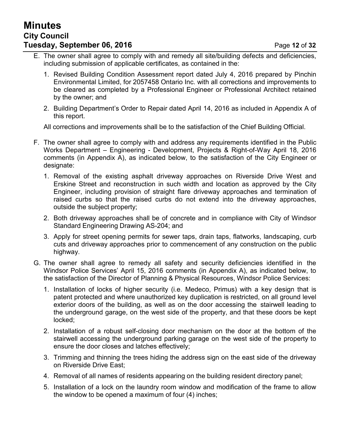# **Minutes City Council Tuesday, September 06, 2016 Page 12 of 32**

- E. The owner shall agree to comply with and remedy all site/building defects and deficiencies, including submission of applicable certificates, as contained in the:
	- 1. Revised Building Condition Assessment report dated July 4, 2016 prepared by Pinchin Environmental Limited, for 2057458 Ontario Inc. with all corrections and improvements to be cleared as completed by a Professional Engineer or Professional Architect retained by the owner; and
	- 2. Building Department's Order to Repair dated April 14, 2016 as included in Appendix A of this report.

All corrections and improvements shall be to the satisfaction of the Chief Building Official.

- F. The owner shall agree to comply with and address any requirements identified in the Public Works Department – Engineering - Development, Projects & Right-of-Way April 18, 2016 comments (in Appendix A), as indicated below, to the satisfaction of the City Engineer or designate:
	- 1. Removal of the existing asphalt driveway approaches on Riverside Drive West and Erskine Street and reconstruction in such width and location as approved by the City Engineer, including provision of straight flare driveway approaches and termination of raised curbs so that the raised curbs do not extend into the driveway approaches, outside the subject property;
	- 2. Both driveway approaches shall be of concrete and in compliance with City of Windsor Standard Engineering Drawing AS-204; and
	- 3. Apply for street opening permits for sewer taps, drain taps, flatworks, landscaping, curb cuts and driveway approaches prior to commencement of any construction on the public highway.
- G. The owner shall agree to remedy all safety and security deficiencies identified in the Windsor Police Services' April 15, 2016 comments (in Appendix A), as indicated below, to the satisfaction of the Director of Planning & Physical Resources, Windsor Police Services:
	- 1. Installation of locks of higher security (i.e. Medeco, Primus) with a key design that is patent protected and where unauthorized key duplication is restricted, on all ground level exterior doors of the building, as well as on the door accessing the stairwell leading to the underground garage, on the west side of the property, and that these doors be kept locked;
	- 2. Installation of a robust self-closing door mechanism on the door at the bottom of the stairwell accessing the underground parking garage on the west side of the property to ensure the door closes and latches effectively;
	- 3. Trimming and thinning the trees hiding the address sign on the east side of the driveway on Riverside Drive East;
	- 4. Removal of all names of residents appearing on the building resident directory panel;
	- 5. Installation of a lock on the laundry room window and modification of the frame to allow the window to be opened a maximum of four (4) inches;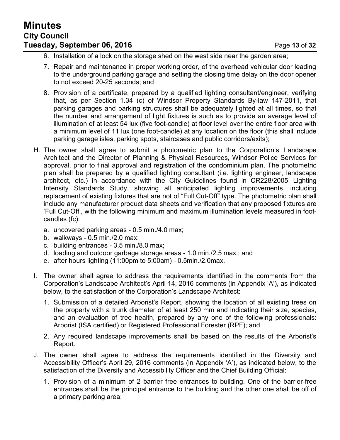# **Minutes City Council Tuesday, September 06, 2016 Page 13 of 32**

- 6. Installation of a lock on the storage shed on the west side near the garden area;
- 7. Repair and maintenance in proper working order, of the overhead vehicular door leading to the underground parking garage and setting the closing time delay on the door opener to not exceed 20-25 seconds; and
- 8. Provision of a certificate, prepared by a qualified lighting consultant/engineer, verifying that, as per Section 1.34 (c) of Windsor Property Standards By-law 147-2011, that parking garages and parking structures shall be adequately lighted at all times, so that the number and arrangement of light fixtures is such as to provide an average level of illumination of at least 54 lux (five foot-candle) at floor level over the entire floor area with a minimum level of 11 lux (one foot-candle) at any location on the floor (this shall include parking garage isles, parking spots, staircases and public corridors/exits);
- H. The owner shall agree to submit a photometric plan to the Corporation's Landscape Architect and the Director of Planning & Physical Resources, Windsor Police Services for approval, prior to final approval and registration of the condominium plan. The photometric plan shall be prepared by a qualified lighting consultant (i.e. lighting engineer, landscape architect, etc.) in accordance with the City Guidelines found in CR228/2005 Lighting Intensity Standards Study, showing all anticipated lighting improvements, including replacement of existing fixtures that are not of "Full Cut-Off" type. The photometric plan shall include any manufacturer product data sheets and verification that any proposed fixtures are 'Full Cut-Off', with the following minimum and maximum illumination levels measured in footcandles (fc):
	- a. uncovered parking areas 0.5 min./4.0 max;
	- b. walkways 0.5 min./2.0 max;
	- c. building entrances 3.5 min./8.0 max;
	- d. loading and outdoor garbage storage areas 1.0 min./2.5 max.; and
	- e. after hours lighting (11:00pm to 5:00am) 0.5min./2.0max.
- I. The owner shall agree to address the requirements identified in the comments from the Corporation's Landscape Architect's April 14, 2016 comments (in Appendix 'A'), as indicated below, to the satisfaction of the Corporation's Landscape Architect:
	- 1. Submission of a detailed Arborist's Report, showing the location of all existing trees on the property with a trunk diameter of at least 250 mm and indicating their size, species, and an evaluation of tree health, prepared by any one of the following professionals: Arborist (ISA certified) or Registered Professional Forester (RPF); and
	- 2. Any required landscape improvements shall be based on the results of the Arborist's Report.
- J. The owner shall agree to address the requirements identified in the Diversity and Accessibility Officer's April 29, 2016 comments (in Appendix 'A'), as indicated below, to the satisfaction of the Diversity and Accessibility Officer and the Chief Building Official:
	- 1. Provision of a minimum of 2 barrier free entrances to building. One of the barrier-free entrances shall be the principal entrance to the building and the other one shall be off of a primary parking area;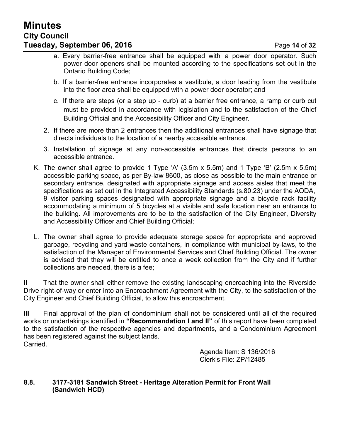- a. Every barrier-free entrance shall be equipped with a power door operator. Such power door openers shall be mounted according to the specifications set out in the Ontario Building Code;
- b. If a barrier-free entrance incorporates a vestibule, a door leading from the vestibule into the floor area shall be equipped with a power door operator; and
- c. If there are steps (or a step up curb) at a barrier free entrance, a ramp or curb cut must be provided in accordance with legislation and to the satisfaction of the Chief Building Official and the Accessibility Officer and City Engineer.
- 2. If there are more than 2 entrances then the additional entrances shall have signage that directs individuals to the location of a nearby accessible entrance.
- 3. Installation of signage at any non-accessible entrances that directs persons to an accessible entrance.
- K. The owner shall agree to provide 1 Type 'A' (3.5m x 5.5m) and 1 Type 'B' (2.5m x 5.5m) accessible parking space, as per By-law 8600, as close as possible to the main entrance or secondary entrance, designated with appropriate signage and access aisles that meet the specifications as set out in the Integrated Accessibility Standards (s.80.23) under the AODA, 9 visitor parking spaces designated with appropriate signage and a bicycle rack facility accommodating a minimum of 5 bicycles at a visible and safe location near an entrance to the building. All improvements are to be to the satisfaction of the City Engineer, Diversity and Accessibility Officer and Chief Building Official;
- L. The owner shall agree to provide adequate storage space for appropriate and approved garbage, recycling and yard waste containers, in compliance with municipal by-laws, to the satisfaction of the Manager of Environmental Services and Chief Building Official. The owner is advised that they will be entitled to once a week collection from the City and if further collections are needed, there is a fee;

**II** That the owner shall either remove the existing landscaping encroaching into the Riverside Drive right-of-way or enter into an Encroachment Agreement with the City, to the satisfaction of the City Engineer and Chief Building Official, to allow this encroachment.

**III** Final approval of the plan of condominium shall not be considered until all of the required works or undertakings identified in **"Recommendation I and II"** of this report have been completed to the satisfaction of the respective agencies and departments, and a Condominium Agreement has been registered against the subject lands. Carried.

> Agenda Item: S 136/2016 Clerk's File: ZP/12485

#### **8.8. 3177-3181 Sandwich Street - Heritage Alteration Permit for Front Wall (Sandwich HCD)**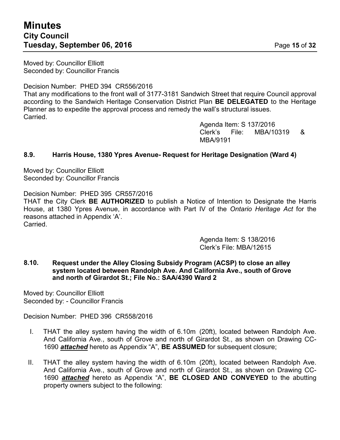# **Minutes City Council Tuesday, September 06, 2016** Page 15 of 32

Moved by: Councillor Elliott Seconded by: Councillor Francis

Decision Number: PHED 394 CR556/2016 That any modifications to the front wall of 3177-3181 Sandwich Street that require Council approval according to the Sandwich Heritage Conservation District Plan **BE DELEGATED** to the Heritage Planner as to expedite the approval process and remedy the wall's structural issues. Carried.

> Agenda Item: S 137/2016 Clerk's File: MBA/10319 & MBA/9191

## **8.9. Harris House, 1380 Ypres Avenue- Request for Heritage Designation (Ward 4)**

Moved by: Councillor Elliott Seconded by: Councillor Francis

Decision Number: PHED 395 CR557/2016 THAT the City Clerk **BE AUTHORIZED** to publish a Notice of Intention to Designate the Harris House, at 1380 Ypres Avenue, in accordance with Part IV of the *Ontario Heritage Act* for the reasons attached in Appendix 'A'. Carried.

> Agenda Item: S 138/2016 Clerk's File: MBA/12615

**8.10. Request under the Alley Closing Subsidy Program (ACSP) to close an alley system located between Randolph Ave. And California Ave., south of Grove and north of Girardot St.; File No.: SAA/4390 Ward 2**

Moved by: Councillor Elliott Seconded by: - Councillor Francis

Decision Number: PHED 396 CR558/2016

- I. THAT the alley system having the width of 6.10m (20ft), located between Randolph Ave. And California Ave., south of Grove and north of Girardot St., as shown on Drawing CC-1690 *attached* hereto as Appendix "A", **BE ASSUMED** for subsequent closure;
- II. THAT the alley system having the width of 6.10m (20ft), located between Randolph Ave. And California Ave., south of Grove and north of Girardot St., as shown on Drawing CC-1690 *attached* hereto as Appendix "A", **BE CLOSED AND CONVEYED** to the abutting property owners subject to the following: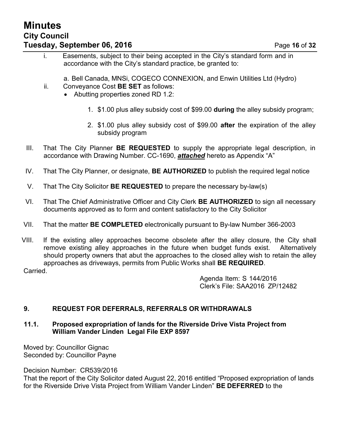# **Minutes City Council Tuesday, September 06, 2016 Page 16 of 32**

- i. Easements, subject to their being accepted in the City's standard form and in accordance with the City's standard practice, be granted to:
	- a. Bell Canada, MNSi, COGECO CONNEXION, and Enwin Utilities Ltd (Hydro)
- ii. Conveyance Cost **BE SET** as follows:
	- Abutting properties zoned RD 1.2:
		- 1. \$1.00 plus alley subsidy cost of \$99.00 **during** the alley subsidy program;
		- 2. \$1.00 plus alley subsidy cost of \$99.00 **after** the expiration of the alley subsidy program
- III. That The City Planner **BE REQUESTED** to supply the appropriate legal description, in accordance with Drawing Number. CC-1690, *attached* hereto as Appendix "A"
- IV. That The City Planner, or designate, **BE AUTHORIZED** to publish the required legal notice
- V. That The City Solicitor **BE REQUESTED** to prepare the necessary by-law(s)
- VI. That The Chief Administrative Officer and City Clerk **BE AUTHORIZED** to sign all necessary documents approved as to form and content satisfactory to the City Solicitor
- VII. That the matter **BE COMPLETED** electronically pursuant to By-law Number 366-2003
- VIII. If the existing alley approaches become obsolete after the alley closure, the City shall remove existing alley approaches in the future when budget funds exist. Alternatively should property owners that abut the approaches to the closed alley wish to retain the alley approaches as driveways, permits from Public Works shall **BE REQUIRED**.

Carried.

Agenda Item: S 144/2016 Clerk's File: SAA2016 ZP/12482

# **9. REQUEST FOR DEFERRALS, REFERRALS OR WITHDRAWALS**

## **11.1. Proposed expropriation of lands for the Riverside Drive Vista Project from William Vander Linden Legal File EXP 8597**

Moved by: Councillor Gignac Seconded by: Councillor Payne

Decision Number: CR539/2016

That the report of the City Solicitor dated August 22, 2016 entitled "Proposed expropriation of lands for the Riverside Drive Vista Project from William Vander Linden" **BE DEFERRED** to the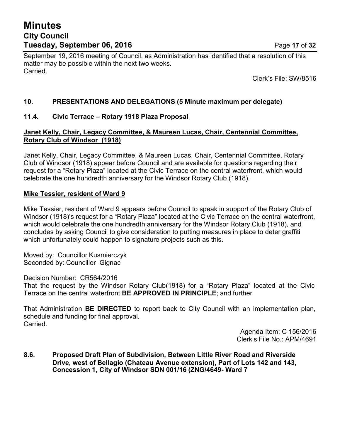# **Minutes City Council Tuesday, September 06, 2016 Page 17 of 32**

September 19, 2016 meeting of Council, as Administration has identified that a resolution of this matter may be possible within the next two weeks. Carried.

Clerk's File: SW/8516

# **10. PRESENTATIONS AND DELEGATIONS (5 Minute maximum per delegate)**

## **11.4. Civic Terrace – Rotary 1918 Plaza Proposal**

## **Janet Kelly, Chair, Legacy Committee, & Maureen Lucas, Chair, Centennial Committee, Rotary Club of Windsor (1918)**

Janet Kelly, Chair, Legacy Committee, & Maureen Lucas, Chair, Centennial Committee, Rotary Club of Windsor (1918) appear before Council and are available for questions regarding their request for a "Rotary Plaza" located at the Civic Terrace on the central waterfront, which would celebrate the one hundredth anniversary for the Windsor Rotary Club (1918).

## **Mike Tessier, resident of Ward 9**

Mike Tessier, resident of Ward 9 appears before Council to speak in support of the Rotary Club of Windsor (1918)'s request for a "Rotary Plaza" located at the Civic Terrace on the central waterfront, which would celebrate the one hundredth anniversary for the Windsor Rotary Club (1918), and concludes by asking Council to give consideration to putting measures in place to deter graffiti which unfortunately could happen to signature projects such as this.

Moved by: Councillor Kusmierczyk Seconded by: Councillor Gignac

Decision Number: CR564/2016

That the request by the Windsor Rotary Club(1918) for a "Rotary Plaza" located at the Civic Terrace on the central waterfront **BE APPROVED IN PRINCIPLE**; and further

That Administration **BE DIRECTED** to report back to City Council with an implementation plan, schedule and funding for final approval. Carried.

> Agenda Item: C 156/2016 Clerk's File No.: APM/4691

**8.6. Proposed Draft Plan of Subdivision, Between Little River Road and Riverside Drive, west of Bellagio (Chateau Avenue extension), Part of Lots 142 and 143, Concession 1, City of Windsor SDN 001/16 (ZNG/4649- Ward 7**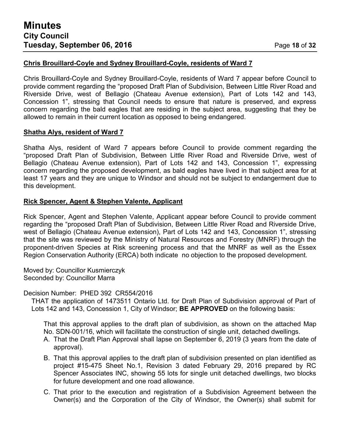### **Chris Brouillard-Coyle and Sydney Brouillard-Coyle, residents of Ward 7**

Chris Brouillard-Coyle and Sydney Brouillard-Coyle, residents of Ward 7 appear before Council to provide comment regarding the "proposed Draft Plan of Subdivision, Between Little River Road and Riverside Drive, west of Bellagio (Chateau Avenue extension), Part of Lots 142 and 143, Concession 1", stressing that Council needs to ensure that nature is preserved, and express concern regarding the bald eagles that are residing in the subject area, suggesting that they be allowed to remain in their current location as opposed to being endangered.

## **Shatha Alys, resident of Ward 7**

Shatha Alys, resident of Ward 7 appears before Council to provide comment regarding the "proposed Draft Plan of Subdivision, Between Little River Road and Riverside Drive, west of Bellagio (Chateau Avenue extension), Part of Lots 142 and 143, Concession 1", expressing concern regarding the proposed development, as bald eagles have lived in that subject area for at least 17 years and they are unique to Windsor and should not be subject to endangerment due to this development.

## **Rick Spencer, Agent & Stephen Valente, Applicant**

Rick Spencer, Agent and Stephen Valente, Applicant appear before Council to provide comment regarding the "proposed Draft Plan of Subdivision, Between Little River Road and Riverside Drive, west of Bellagio (Chateau Avenue extension), Part of Lots 142 and 143, Concession 1", stressing that the site was reviewed by the Ministry of Natural Resources and Forestry (MNRF) through the proponent-driven Species at Risk screening process and that the MNRF as well as the Essex Region Conservation Authority (ERCA) both indicate no objection to the proposed development.

Moved by: Councillor Kusmierczyk Seconded by: Councillor Marra

Decision Number: PHED 392 CR554/2016

THAT the application of 1473511 Ontario Ltd. for Draft Plan of Subdivision approval of Part of Lots 142 and 143, Concession 1, City of Windsor; **BE APPROVED** on the following basis:

That this approval applies to the draft plan of subdivision, as shown on the attached Map No. SDN-001/16, which will facilitate the construction of single unit, detached dwellings.

- A. That the Draft Plan Approval shall lapse on September 6, 2019 (3 years from the date of approval).
- B. That this approval applies to the draft plan of subdivision presented on plan identified as project #15-475 Sheet No.1, Revision 3 dated February 29, 2016 prepared by RC Spencer Associates INC, showing 55 lots for single unit detached dwellings, two blocks for future development and one road allowance.
- C. That prior to the execution and registration of a Subdivision Agreement between the Owner(s) and the Corporation of the City of Windsor, the Owner(s) shall submit for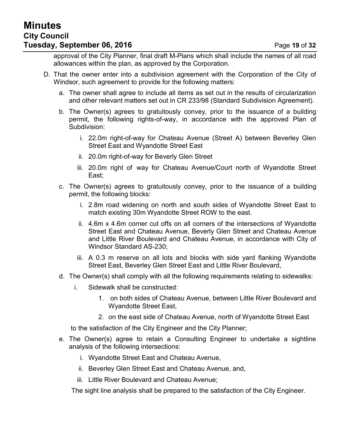approval of the City Planner, final draft M-Plans which shall include the names of all road allowances within the plan, as approved by the Corporation.

- D. That the owner enter into a subdivision agreement with the Corporation of the City of Windsor, such agreement to provide for the following matters:
	- a. The owner shall agree to include all items as set out in the results of circularization and other relevant matters set out in CR 233/98 (Standard Subdivision Agreement).
	- b. The Owner(s) agrees to gratuitously convey, prior to the issuance of a building permit, the following rights-of-way, in accordance with the approved Plan of Subdivision:
		- i. 22.0m right-of-way for Chateau Avenue (Street A) between Beverley Glen Street East and Wyandotte Street East
		- ii. 20.0m right-of-way for Beverly Glen Street
		- iii. 20.0m right of way for Chateau Avenue/Court north of Wyandotte Street East;
	- c. The Owner(s) agrees to gratuitously convey, prior to the issuance of a building permit, the following blocks:
		- i. 2.8m road widening on north and south sides of Wyandotte Street East to match existing 30m Wyandotte Street ROW to the east.
		- ii. 4.6m x 4.6m corner cut offs on all corners of the intersections of Wyandotte Street East and Chateau Avenue, Beverly Glen Street and Chateau Avenue and Little River Boulevard and Chateau Avenue, in accordance with City of Windsor Standard AS-230;
		- iii. A 0.3 m reserve on all lots and blocks with side yard flanking Wyandotte Street East, Beverley Glen Street East and Little River Boulevard,
	- d. The Owner(s) shall comply with all the following requirements relating to sidewalks:
		- i. Sidewalk shall be constructed:
			- 1. on both sides of Chateau Avenue, between Little River Boulevard and Wyandotte Street East,
			- 2. on the east side of Chateau Avenue, north of Wyandotte Street East

to the satisfaction of the City Engineer and the City Planner;

- e. The Owner(s) agree to retain a Consulting Engineer to undertake a sightline analysis of the following intersections:
	- i. Wyandotte Street East and Chateau Avenue,
	- ii. Beverley Glen Street East and Chateau Avenue, and,
	- iii. Little River Boulevard and Chateau Avenue;

The sight line analysis shall be prepared to the satisfaction of the City Engineer.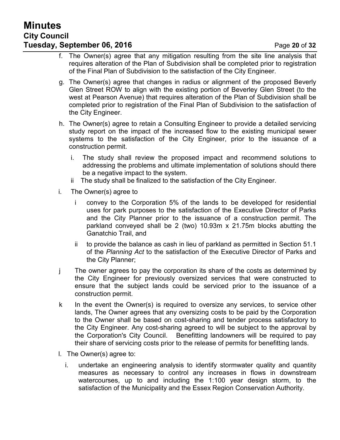# **Minutes City Council Tuesday, September 06, 2016 Page 20 of 32**

- f. The Owner(s) agree that any mitigation resulting from the site line analysis that requires alteration of the Plan of Subdivision shall be completed prior to registration of the Final Plan of Subdivision to the satisfaction of the City Engineer.
- g. The Owner(s) agree that changes in radius or alignment of the proposed Beverly Glen Street ROW to align with the existing portion of Beverley Glen Street (to the west at Pearson Avenue) that requires alteration of the Plan of Subdivision shall be completed prior to registration of the Final Plan of Subdivision to the satisfaction of the City Engineer.
- h. The Owner(s) agree to retain a Consulting Engineer to provide a detailed servicing study report on the impact of the increased flow to the existing municipal sewer systems to the satisfaction of the City Engineer, prior to the issuance of a construction permit.
	- i. The study shall review the proposed impact and recommend solutions to addressing the problems and ultimate implementation of solutions should there be a negative impact to the system.
	- ii The study shall be finalized to the satisfaction of the City Engineer.
- i. The Owner(s) agree to
	- i convey to the Corporation 5% of the lands to be developed for residential uses for park purposes to the satisfaction of the Executive Director of Parks and the City Planner prior to the issuance of a construction permit. The parkland conveyed shall be 2 (two) 10.93m x 21.75m blocks abutting the Ganatchio Trail, and
	- ii to provide the balance as cash in lieu of parkland as permitted in Section 51.1 of the *Planning Act* to the satisfaction of the Executive Director of Parks and the City Planner;
- j The owner agrees to pay the corporation its share of the costs as determined by the City Engineer for previously oversized services that were constructed to ensure that the subject lands could be serviced prior to the issuance of a construction permit.
- k In the event the Owner(s) is required to oversize any services, to service other lands, The Owner agrees that any oversizing costs to be paid by the Corporation to the Owner shall be based on cost-sharing and tender process satisfactory to the City Engineer. Any cost-sharing agreed to will be subject to the approval by the Corporation's City Council. Benefitting landowners will be required to pay their share of servicing costs prior to the release of permits for benefitting lands.
- l. The Owner(s) agree to:
	- i. undertake an engineering analysis to identify stormwater quality and quantity measures as necessary to control any increases in flows in downstream watercourses, up to and including the 1:100 year design storm, to the satisfaction of the Municipality and the Essex Region Conservation Authority.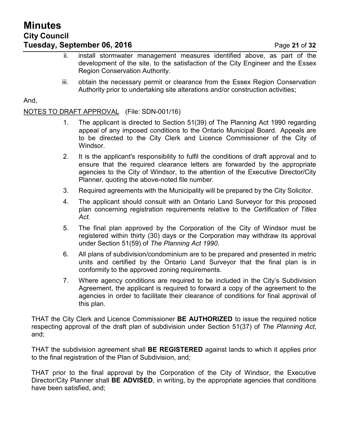- ii. install stormwater management measures identified above, as part of the development of the site, to the satisfaction of the City Engineer and the Essex Region Conservation Authority.
- iii. obtain the necessary permit or clearance from the Essex Region Conservation Authority prior to undertaking site alterations and/or construction activities;

And,

# NOTES TO DRAFT APPROVAL (File: SDN-001/16)

- 1. The applicant is directed to Section 51(39) of The Planning Act 1990 regarding appeal of any imposed conditions to the Ontario Municipal Board. Appeals are to be directed to the City Clerk and Licence Commissioner of the City of Windsor.
- 2. It is the applicant's responsibility to fulfil the conditions of draft approval and to ensure that the required clearance letters are forwarded by the appropriate agencies to the City of Windsor, to the attention of the Executive Director/City Planner, quoting the above-noted file number.
- 3. Required agreements with the Municipality will be prepared by the City Solicitor.
- 4. The applicant should consult with an Ontario Land Surveyor for this proposed plan concerning registration requirements relative to the *Certification of Titles Act.*
- 5. The final plan approved by the Corporation of the City of Windsor must be registered within thirty (30) days or the Corporation may withdraw its approval under Section 51(59) of *The Planning Act 1990*.
- 6. All plans of subdivision/condominium are to be prepared and presented in metric units and certified by the Ontario Land Surveyor that the final plan is in conformity to the approved zoning requirements.
- 7. Where agency conditions are required to be included in the City's Subdivision Agreement, the applicant is required to forward a copy of the agreement to the agencies in order to facilitate their clearance of conditions for final approval of this plan.

THAT the City Clerk and Licence Commissioner **BE AUTHORIZED** to issue the required notice respecting approval of the draft plan of subdivision under Section 51(37) of *The Planning Act*, and;

THAT the subdivision agreement shall **BE REGISTERED** against lands to which it applies prior to the final registration of the Plan of Subdivision, and;

THAT prior to the final approval by the Corporation of the City of Windsor, the Executive Director/City Planner shall **BE ADVISED**, in writing, by the appropriate agencies that conditions have been satisfied, and;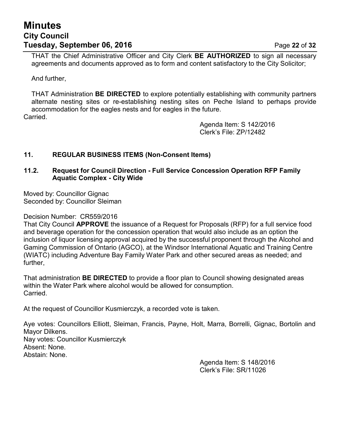# **Minutes City Council Tuesday, September 06, 2016 Page 22 of 32**

THAT the Chief Administrative Officer and City Clerk **BE AUTHORIZED** to sign all necessary agreements and documents approved as to form and content satisfactory to the City Solicitor;

And further,

THAT Administration **BE DIRECTED** to explore potentially establishing with community partners alternate nesting sites or re-establishing nesting sites on Peche Island to perhaps provide accommodation for the eagles nests and for eagles in the future.

Carried.

Agenda Item: S 142/2016 Clerk's File: ZP/12482

## **11. REGULAR BUSINESS ITEMS (Non-Consent Items)**

### **11.2. Request for Council Direction - Full Service Concession Operation RFP Family Aquatic Complex - City Wide**

Moved by: Councillor Gignac Seconded by: Councillor Sleiman

Decision Number: CR559/2016

That City Council **APPROVE** the issuance of a Request for Proposals (RFP) for a full service food and beverage operation for the concession operation that would also include as an option the inclusion of liquor licensing approval acquired by the successful proponent through the Alcohol and Gaming Commission of Ontario (AGCO), at the Windsor International Aquatic and Training Centre (WIATC) including Adventure Bay Family Water Park and other secured areas as needed; and further,

That administration **BE DIRECTED** to provide a floor plan to Council showing designated areas within the Water Park where alcohol would be allowed for consumption. Carried.

At the request of Councillor Kusmierczyk, a recorded vote is taken.

Aye votes: Councillors Elliott, Sleiman, Francis, Payne, Holt, Marra, Borrelli, Gignac, Bortolin and Mayor Dilkens. Nay votes: Councillor Kusmierczyk Absent: None. Abstain: None.

Agenda Item: S 148/2016 Clerk's File: SR/11026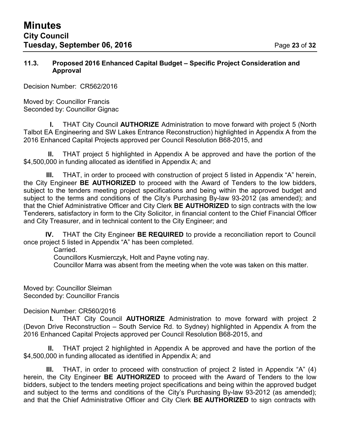#### **11.3. Proposed 2016 Enhanced Capital Budget – Specific Project Consideration and Approval**

Decision Number: CR562/2016

Moved by: Councillor Francis Seconded by: Councillor Gignac

**I.** THAT City Council **AUTHORIZE** Administration to move forward with project 5 (North Talbot EA Engineering and SW Lakes Entrance Reconstruction) highlighted in Appendix A from the 2016 Enhanced Capital Projects approved per Council Resolution B68-2015, and

**II.** THAT project 5 highlighted in Appendix A be approved and have the portion of the \$4,500,000 in funding allocated as identified in Appendix A; and

**III.** THAT, in order to proceed with construction of project 5 listed in Appendix "A" herein, the City Engineer **BE AUTHORIZED** to proceed with the Award of Tenders to the low bidders, subject to the tenders meeting project specifications and being within the approved budget and subject to the terms and conditions of the City's Purchasing By-law 93-2012 (as amended); and that the Chief Administrative Officer and City Clerk **BE AUTHORIZED** to sign contracts with the low Tenderers, satisfactory in form to the City Solicitor, in financial content to the Chief Financial Officer and City Treasurer, and in technical content to the City Engineer; and

**IV.** THAT the City Engineer **BE REQUIRED** to provide a reconciliation report to Council once project 5 listed in Appendix "A" has been completed.

Carried.

Councillors Kusmierczyk, Holt and Payne voting nay.

Councillor Marra was absent from the meeting when the vote was taken on this matter.

Moved by: Councillor Sleiman Seconded by: Councillor Francis

Decision Number: CR560/2016

**I.** THAT City Council **AUTHORIZE** Administration to move forward with project 2 (Devon Drive Reconstruction – South Service Rd. to Sydney) highlighted in Appendix A from the 2016 Enhanced Capital Projects approved per Council Resolution B68-2015, and

**II.** THAT project 2 highlighted in Appendix A be approved and have the portion of the \$4,500,000 in funding allocated as identified in Appendix A; and

**III.** THAT, in order to proceed with construction of project 2 listed in Appendix "A" (4) herein, the City Engineer **BE AUTHORIZED** to proceed with the Award of Tenders to the low bidders, subject to the tenders meeting project specifications and being within the approved budget and subject to the terms and conditions of the City's Purchasing By-law 93-2012 (as amended); and that the Chief Administrative Officer and City Clerk **BE AUTHORIZED** to sign contracts with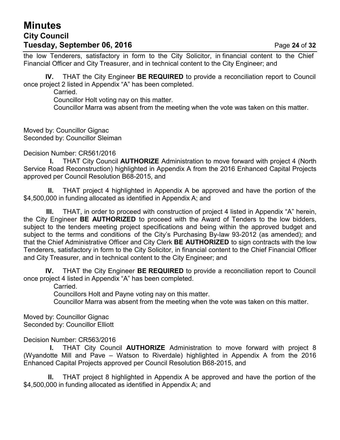# **Minutes City Council Tuesday, September 06, 2016 Page 24 of 32**

the low Tenderers, satisfactory in form to the City Solicitor, in financial content to the Chief Financial Officer and City Treasurer, and in technical content to the City Engineer; and

**IV.** THAT the City Engineer **BE REQUIRED** to provide a reconciliation report to Council once project 2 listed in Appendix "A" has been completed.

Carried.

Councillor Holt voting nay on this matter.

Councillor Marra was absent from the meeting when the vote was taken on this matter.

Moved by: Councillor Gignac Seconded by: Councillor Sleiman

Decision Number: CR561/2016

**I.** THAT City Council **AUTHORIZE** Administration to move forward with project 4 (North Service Road Reconstruction) highlighted in Appendix A from the 2016 Enhanced Capital Projects approved per Council Resolution B68-2015, and

**II.** THAT project 4 highlighted in Appendix A be approved and have the portion of the \$4,500,000 in funding allocated as identified in Appendix A; and

**III.** THAT, in order to proceed with construction of project 4 listed in Appendix "A" herein, the City Engineer **BE AUTHORIZED** to proceed with the Award of Tenders to the low bidders, subject to the tenders meeting project specifications and being within the approved budget and subject to the terms and conditions of the City's Purchasing By-law 93-2012 (as amended); and that the Chief Administrative Officer and City Clerk **BE AUTHORIZED** to sign contracts with the low Tenderers, satisfactory in form to the City Solicitor, in financial content to the Chief Financial Officer and City Treasurer, and in technical content to the City Engineer; and

**IV.** THAT the City Engineer **BE REQUIRED** to provide a reconciliation report to Council once project 4 listed in Appendix "A" has been completed.

Carried.

Councillors Holt and Payne voting nay on this matter.

Councillor Marra was absent from the meeting when the vote was taken on this matter.

Moved by: Councillor Gignac Seconded by: Councillor Elliott

Decision Number: CR563/2016

**I.** THAT City Council **AUTHORIZE** Administration to move forward with project 8 (Wyandotte Mill and Pave – Watson to Riverdale) highlighted in Appendix A from the 2016 Enhanced Capital Projects approved per Council Resolution B68-2015, and

**II.** THAT project 8 highlighted in Appendix A be approved and have the portion of the \$4,500,000 in funding allocated as identified in Appendix A; and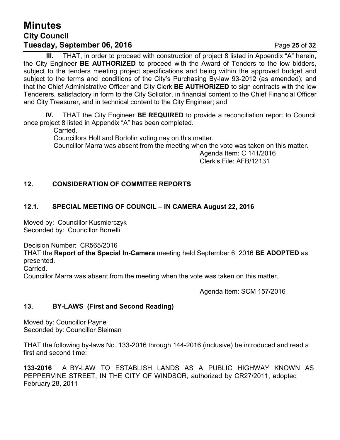# **Minutes City Council Tuesday, September 06, 2016 Page 25 of 32**

**III.** THAT, in order to proceed with construction of project 8 listed in Appendix "A" herein, the City Engineer **BE AUTHORIZED** to proceed with the Award of Tenders to the low bidders, subject to the tenders meeting project specifications and being within the approved budget and subject to the terms and conditions of the City's Purchasing By-law 93-2012 (as amended); and that the Chief Administrative Officer and City Clerk **BE AUTHORIZED** to sign contracts with the low Tenderers, satisfactory in form to the City Solicitor, in financial content to the Chief Financial Officer and City Treasurer, and in technical content to the City Engineer; and

**IV.** THAT the City Engineer **BE REQUIRED** to provide a reconciliation report to Council once project 8 listed in Appendix "A" has been completed.

Carried.

Councillors Holt and Bortolin voting nay on this matter.

Councillor Marra was absent from the meeting when the vote was taken on this matter.

Agenda Item: C 141/2016 Clerk's File: AFB/12131

# **12. CONSIDERATION OF COMMITEE REPORTS**

# **12.1. SPECIAL MEETING OF COUNCIL – IN CAMERA August 22, 2016**

Moved by: Councillor Kusmierczyk Seconded by: Councillor Borrelli

Decision Number: CR565/2016

THAT the **Report of the Special In-Camera** meeting held September 6, 2016 **BE ADOPTED** as presented.

Carried.

Councillor Marra was absent from the meeting when the vote was taken on this matter.

Agenda Item: SCM 157/2016

# **13. BY-LAWS (First and Second Reading)**

Moved by: Councillor Payne Seconded by: Councillor Sleiman

THAT the following by-laws No. 133-2016 through 144-2016 (inclusive) be introduced and read a first and second time:

**133-2016** A BY-LAW TO ESTABLISH LANDS AS A PUBLIC HIGHWAY KNOWN AS PEPPERVINE STREET, IN THE CITY OF WINDSOR, authorized by CR27/2011, adopted February 28, 2011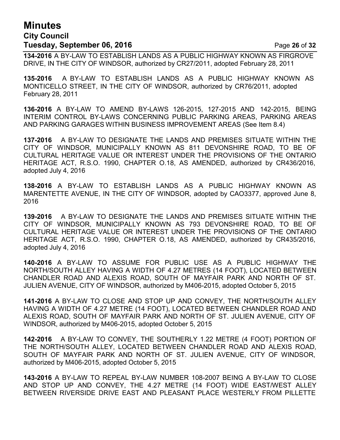# **Minutes City Council Tuesday, September 06, 2016** Page **26** of **32**

**134-2016** A BY-LAW TO ESTABLISH LANDS AS A PUBLIC HIGHWAY KNOWN AS FIRGROVE DRIVE, IN THE CITY OF WINDSOR, authorized by CR27/2011, adopted February 28, 2011

**135-2016** A BY-LAW TO ESTABLISH LANDS AS A PUBLIC HIGHWAY KNOWN AS MONTICELLO STREET, IN THE CITY OF WINDSOR, authorized by CR76/2011, adopted February 28, 2011

**136-2016** A BY-LAW TO AMEND BY-LAWS 126-2015, 127-2015 AND 142-2015, BEING INTERIM CONTROL BY-LAWS CONCERNING PUBLIC PARKING AREAS, PARKING AREAS AND PARKING GARAGES WITHIN BUSINESS IMPROVEMENT AREAS (See Item 8.4)

**137-2016** A BY-LAW TO DESIGNATE THE LANDS AND PREMISES SITUATE WITHIN THE CITY OF WINDSOR, MUNICIPALLY KNOWN AS 811 DEVONSHIRE ROAD, TO BE OF CULTURAL HERITAGE VALUE OR INTEREST UNDER THE PROVISIONS OF THE ONTARIO HERITAGE ACT, R.S.O. 1990, CHAPTER O.18, AS AMENDED, authorized by CR436/2016, adopted July 4, 2016

**138-2016** A BY-LAW TO ESTABLISH LANDS AS A PUBLIC HIGHWAY KNOWN AS MARENTETTE AVENUE, IN THE CITY OF WINDSOR, adopted by CAO3377, approved June 8, 2016

**139-2016** A BY-LAW TO DESIGNATE THE LANDS AND PREMISES SITUATE WITHIN THE CITY OF WINDSOR, MUNICIPALLY KNOWN AS 793 DEVONSHIRE ROAD, TO BE OF CULTURAL HERITAGE VALUE OR INTEREST UNDER THE PROVISIONS OF THE ONTARIO HERITAGE ACT, R.S.O. 1990, CHAPTER O.18, AS AMENDED, authorized by CR435/2016, adopted July 4, 2016

**140-2016** A BY-LAW TO ASSUME FOR PUBLIC USE AS A PUBLIC HIGHWAY THE NORTH/SOUTH ALLEY HAVING A WIDTH OF 4.27 METRES (14 FOOT), LOCATED BETWEEN CHANDLER ROAD AND ALEXIS ROAD, SOUTH OF MAYFAIR PARK AND NORTH OF ST. JULIEN AVENUE, CITY OF WINDSOR, authorized by M406-2015, adopted October 5, 2015

**141-2016** A BY-LAW TO CLOSE AND STOP UP AND CONVEY, THE NORTH/SOUTH ALLEY HAVING A WIDTH OF 4.27 METRE (14 FOOT), LOCATED BETWEEN CHANDLER ROAD AND ALEXIS ROAD, SOUTH OF MAYFAIR PARK AND NORTH OF ST. JULIEN AVENUE, CITY OF WINDSOR, authorized by M406-2015, adopted October 5, 2015

**142-2016** A BY-LAW TO CONVEY, THE SOUTHERLY 1.22 METRE (4 FOOT) PORTION OF THE NORTH/SOUTH ALLEY, LOCATED BETWEEN CHANDLER ROAD AND ALEXIS ROAD, SOUTH OF MAYFAIR PARK AND NORTH OF ST. JULIEN AVENUE, CITY OF WINDSOR, authorized by M406-2015, adopted October 5, 2015

**143-2016** A BY-LAW TO REPEAL BY-LAW NUMBER 108-2007 BEING A BY-LAW TO CLOSE AND STOP UP AND CONVEY, THE 4.27 METRE (14 FOOT) WIDE EAST/WEST ALLEY BETWEEN RIVERSIDE DRIVE EAST AND PLEASANT PLACE WESTERLY FROM PILLETTE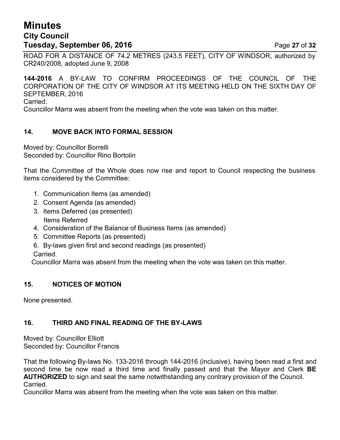# **Minutes City Council Tuesday, September 06, 2016 Page 27 of 32**

ROAD FOR A DISTANCE OF 74.2 METRES (243.5 FEET), CITY OF WINDSOR, authorized by CR240/2008, adopted June 9, 2008

**144-2016** A BY-LAW TO CONFIRM PROCEEDINGS OF THE COUNCIL OF THE CORPORATION OF THE CITY OF WINDSOR AT ITS MEETING HELD ON THE SIXTH DAY OF SEPTEMBER, 2016 Carried.

Councillor Marra was absent from the meeting when the vote was taken on this matter.

## **14. MOVE BACK INTO FORMAL SESSION**

Moved by: Councillor Borrelli Seconded by: Councillor Rino Bortolin

That the Committee of the Whole does now rise and report to Council respecting the business items considered by the Committee:

- 1. Communication Items (as amended)
- 2. Consent Agenda (as amended)
- 3. Items Deferred (as presented) Items Referred
- 4. Consideration of the Balance of Business Items (as amended)
- 5. Committee Reports (as presented)
- 6. By-laws given first and second readings (as presented) Carried.

Councillor Marra was absent from the meeting when the vote was taken on this matter.

## **15. NOTICES OF MOTION**

None presented.

## **16. THIRD AND FINAL READING OF THE BY-LAWS**

Moved by: Councillor Elliott Seconded by: Councillor Francis

That the following By-laws No. 133-2016 through 144-2016 (inclusive), having been read a first and second time be now read a third time and finally passed and that the Mayor and Clerk **BE AUTHORIZED** to sign and seal the same notwithstanding any contrary provision of the Council. Carried.

Councillor Marra was absent from the meeting when the vote was taken on this matter.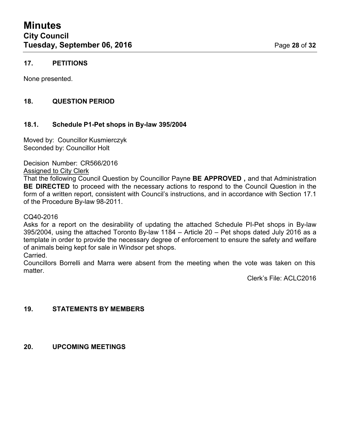## **17. PETITIONS**

None presented.

## **18. QUESTION PERIOD**

#### **18.1. Schedule P1-Pet shops in By-law 395/2004**

Moved by: Councillor Kusmierczyk Seconded by: Councillor Holt

Decision Number: CR566/2016

Assigned to City Clerk

That the following Council Question by Councillor Payne **BE APPROVED ,** and that Administration **BE DIRECTED** to proceed with the necessary actions to respond to the Council Question in the form of a written report, consistent with Council's instructions, and in accordance with Section 17.1 of the Procedure By-law 98-2011.

#### CQ40-2016

Asks for a report on the desirability of updating the attached Schedule PI-Pet shops in By-law 395/2004, using the attached Toronto By-law 1184 – Article 20 – Pet shops dated July 2016 as a template in order to provide the necessary degree of enforcement to ensure the safety and welfare of animals being kept for sale in Windsor pet shops.

Carried.

Councillors Borrelli and Marra were absent from the meeting when the vote was taken on this matter.

Clerk's File: ACLC2016

#### **19. STATEMENTS BY MEMBERS**

#### **20. UPCOMING MEETINGS**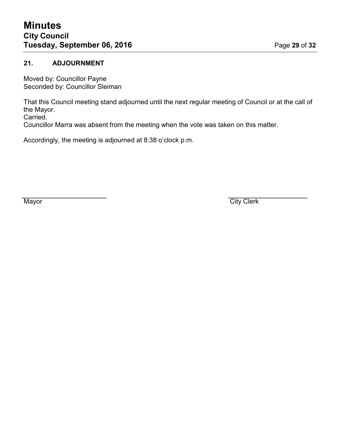## **21. ADJOURNMENT**

Moved by: Councillor Payne Seconded by: Councillor Sleiman

That this Council meeting stand adjourned until the next regular meeting of Council or at the call of the Mayor. Carried.

Councillor Marra was absent from the meeting when the vote was taken on this matter.

Accordingly, the meeting is adjourned at 8:38 o'clock p.m.

Mayor **City Clerk**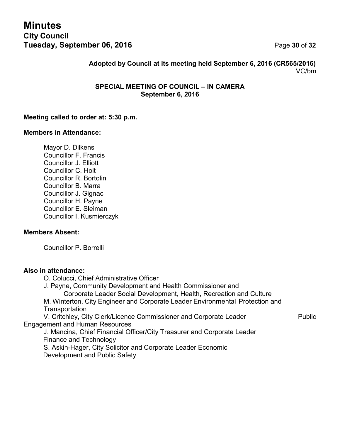**Adopted by Council at its meeting held September 6, 2016 (CR565/2016)** VC/bm

#### **SPECIAL MEETING OF COUNCIL – IN CAMERA September 6, 2016**

#### **Meeting called to order at: 5:30 p.m.**

#### **Members in Attendance:**

Mayor D. Dilkens Councillor F. Francis Councillor J. Elliott Councillor C. Holt Councillor R. Bortolin Councillor B. Marra Councillor J. Gignac Councillor H. Payne Councillor E. Sleiman Councillor I. Kusmierczyk

#### **Members Absent:**

Councillor P. Borrelli

#### **Also in attendance:**

O. Colucci, Chief Administrative Officer

J. Payne, Community Development and Health Commissioner and

Corporate Leader Social Development, Health, Recreation and Culture

M. Winterton, City Engineer and Corporate Leader Environmental Protection and **Transportation** 

V. Critchley, City Clerk/Licence Commissioner and Corporate Leader Public Engagement and Human Resources

J. Mancina, Chief Financial Officer/City Treasurer and Corporate Leader Finance and Technology

S. Askin-Hager, City Solicitor and Corporate Leader Economic Development and Public Safety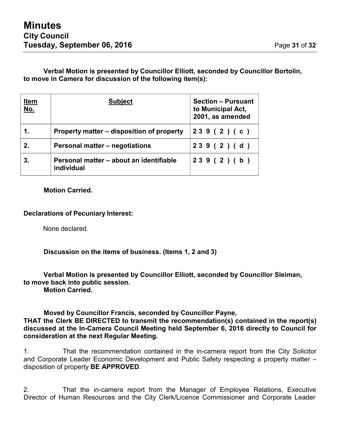## **Verbal Motion is presented by Councillor Elliott, seconded by Councillor Bortolin, to move in Camera for discussion of the following item(s):**

| <u>Item</u><br><u>No.</u> | <b>Subject</b>                                        | <b>Section - Pursuant</b><br>to Municipal Act,<br>2001, as amended |  |  |
|---------------------------|-------------------------------------------------------|--------------------------------------------------------------------|--|--|
| 1.                        | Property matter – disposition of property             | 239(2)(c)                                                          |  |  |
| 2.                        | Personal matter – negotiations                        | 239(2)(d)                                                          |  |  |
| 3.                        | Personal matter – about an identifiable<br>individual | 239(2)(b)                                                          |  |  |

**Motion Carried.**

## **Declarations of Pecuniary Interest:**

None declared.

**Discussion on the items of business. (Items 1, 2 and 3)**

#### **Verbal Motion is presented by Councillor Elliott, seconded by Councillor Sleiman, to move back into public session. Motion Carried.**

## **Moved by Councillor Francis, seconded by Councillor Payne,**

**THAT the Clerk BE DIRECTED to transmit the recommendation(s) contained in the report(s) discussed at the In-Camera Council Meeting held September 6, 2016 directly to Council for consideration at the next Regular Meeting.**

1. That the recommendation contained in the in-camera report from the City Solicitor and Corporate Leader Economic Development and Public Safety respecting a property matter – disposition of property **BE APPROVED**.

2. That the in-camera report from the Manager of Employee Relations, Executive Director of Human Resources and the City Clerk/Licence Commissioner and Corporate Leader